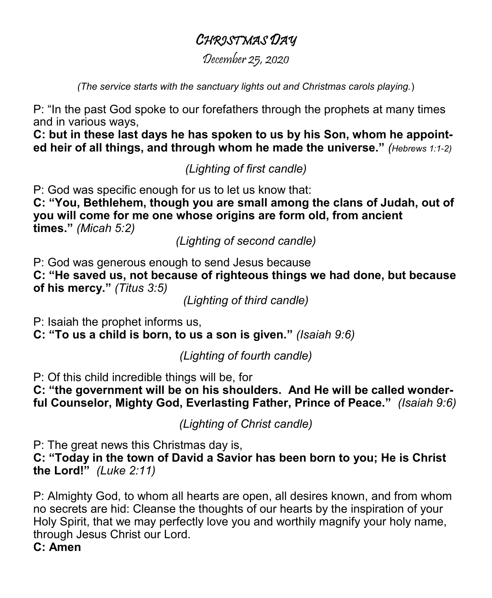# CHRISTMAS DAY

December 25, 2020

*(The service starts with the sanctuary lights out and Christmas carols playing.*)

P: "In the past God spoke to our forefathers through the prophets at many times and in various ways,

**C: but in these last days he has spoken to us by his Son, whom he appointed heir of all things, and through whom he made the universe."** *(Hebrews 1:1-2)*

*(Lighting of first candle)*

P: God was specific enough for us to let us know that:

**C: "You, Bethlehem, though you are small among the clans of Judah, out of you will come for me one whose origins are form old, from ancient times."** *(Micah 5:2)*

*(Lighting of second candle)*

P: God was generous enough to send Jesus because

**C: "He saved us, not because of righteous things we had done, but because of his mercy."** *(Titus 3:5)*

*(Lighting of third candle)*

P: Isaiah the prophet informs us,

**C: "To us a child is born, to us a son is given."** *(Isaiah 9:6)*

*(Lighting of fourth candle)*

P: Of this child incredible things will be, for

**C: "the government will be on his shoulders. And He will be called wonderful Counselor, Mighty God, Everlasting Father, Prince of Peace."** *(Isaiah 9:6)*

*(Lighting of Christ candle)*

P: The great news this Christmas day is,

**C: "Today in the town of David a Savior has been born to you; He is Christ the Lord!"** *(Luke 2:11)*

P: Almighty God, to whom all hearts are open, all desires known, and from whom no secrets are hid: Cleanse the thoughts of our hearts by the inspiration of your Holy Spirit, that we may perfectly love you and worthily magnify your holy name, through Jesus Christ our Lord.

## **C: Amen**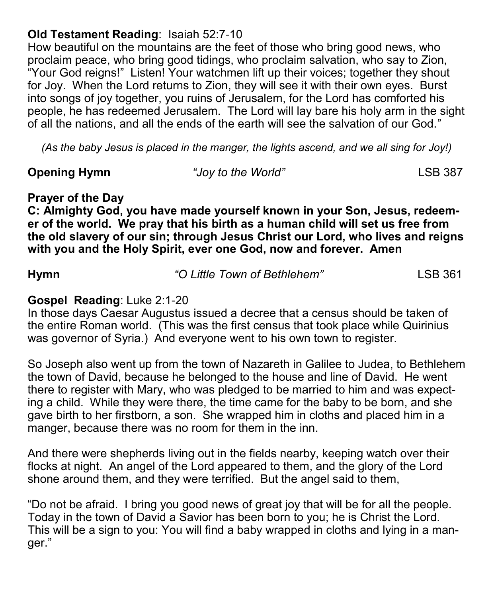### **Old Testament Reading**: Isaiah 52:7-10

How beautiful on the mountains are the feet of those who bring good news, who proclaim peace, who bring good tidings, who proclaim salvation, who say to Zion, "Your God reigns!" Listen! Your watchmen lift up their voices; together they shout for Joy. When the Lord returns to Zion, they will see it with their own eyes. Burst into songs of joy together, you ruins of Jerusalem, for the Lord has comforted his people, he has redeemed Jerusalem. The Lord will lay bare his holy arm in the sight of all the nations, and all the ends of the earth will see the salvation of our God."

*(As the baby Jesus is placed in the manger, the lights ascend, and we all sing for Joy!)*

### **Opening Hymn** *"Joy to the World"* LSB 387

### **Prayer of the Day**

**C: Almighty God, you have made yourself known in your Son, Jesus, redeemer of the world. We pray that his birth as a human child will set us free from the old slavery of our sin; through Jesus Christ our Lord, who lives and reigns with you and the Holy Spirit, ever one God, now and forever. Amen**

| Hymn | "O Little Town of Bethlehem" | <b>LSB 361</b> |
|------|------------------------------|----------------|
|      |                              |                |

### **Gospel Reading**: Luke 2:1-20

In those days Caesar Augustus issued a decree that a census should be taken of the entire Roman world. (This was the first census that took place while Quirinius was governor of Syria.) And everyone went to his own town to register.

So Joseph also went up from the town of Nazareth in Galilee to Judea, to Bethlehem the town of David, because he belonged to the house and line of David. He went there to register with Mary, who was pledged to be married to him and was expecting a child. While they were there, the time came for the baby to be born, and she gave birth to her firstborn, a son. She wrapped him in cloths and placed him in a manger, because there was no room for them in the inn.

And there were shepherds living out in the fields nearby, keeping watch over their flocks at night. An angel of the Lord appeared to them, and the glory of the Lord shone around them, and they were terrified. But the angel said to them,

"Do not be afraid. I bring you good news of great joy that will be for all the people. Today in the town of David a Savior has been born to you; he is Christ the Lord. This will be a sign to you: You will find a baby wrapped in cloths and lying in a manger."